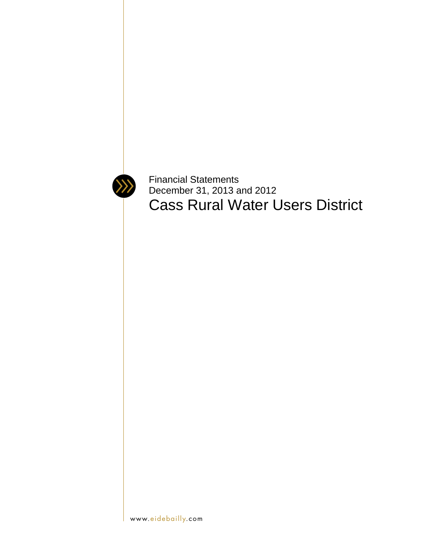

Financial Statements December 31, 2013 and 2012 Cass Rural Water Users District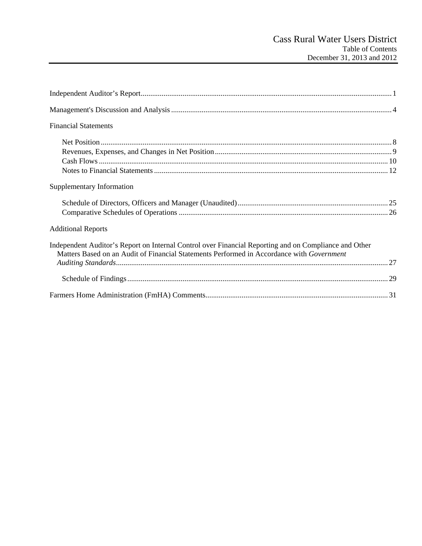| <b>Financial Statements</b>                                                                                                                                                                        |
|----------------------------------------------------------------------------------------------------------------------------------------------------------------------------------------------------|
|                                                                                                                                                                                                    |
|                                                                                                                                                                                                    |
|                                                                                                                                                                                                    |
|                                                                                                                                                                                                    |
| Supplementary Information                                                                                                                                                                          |
|                                                                                                                                                                                                    |
| <b>Additional Reports</b>                                                                                                                                                                          |
| Independent Auditor's Report on Internal Control over Financial Reporting and on Compliance and Other<br>Matters Based on an Audit of Financial Statements Performed in Accordance with Government |
|                                                                                                                                                                                                    |
|                                                                                                                                                                                                    |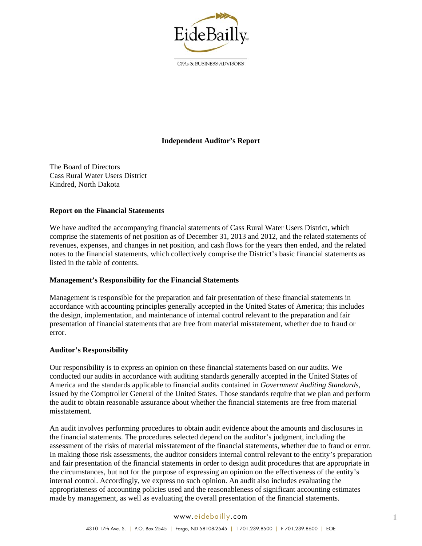

CPAs & BUSINESS ADVISORS

## **Independent Auditor's Report**

The Board of Directors Cass Rural Water Users District Kindred, North Dakota

#### **Report on the Financial Statements**

We have audited the accompanying financial statements of Cass Rural Water Users District, which comprise the statements of net position as of December 31, 2013 and 2012, and the related statements of revenues, expenses, and changes in net position, and cash flows for the years then ended, and the related notes to the financial statements, which collectively comprise the District's basic financial statements as listed in the table of contents.

#### **Management's Responsibility for the Financial Statements**

Management is responsible for the preparation and fair presentation of these financial statements in accordance with accounting principles generally accepted in the United States of America; this includes the design, implementation, and maintenance of internal control relevant to the preparation and fair presentation of financial statements that are free from material misstatement, whether due to fraud or error.

#### **Auditor's Responsibility**

Our responsibility is to express an opinion on these financial statements based on our audits. We conducted our audits in accordance with auditing standards generally accepted in the United States of America and the standards applicable to financial audits contained in *Government Auditing Standards*, issued by the Comptroller General of the United States. Those standards require that we plan and perform the audit to obtain reasonable assurance about whether the financial statements are free from material misstatement.

An audit involves performing procedures to obtain audit evidence about the amounts and disclosures in the financial statements. The procedures selected depend on the auditor's judgment, including the assessment of the risks of material misstatement of the financial statements, whether due to fraud or error. In making those risk assessments, the auditor considers internal control relevant to the entity's preparation and fair presentation of the financial statements in order to design audit procedures that are appropriate in the circumstances, but not for the purpose of expressing an opinion on the effectiveness of the entity's internal control. Accordingly, we express no such opinion. An audit also includes evaluating the appropriateness of accounting policies used and the reasonableness of significant accounting estimates made by management, as well as evaluating the overall presentation of the financial statements.

#### www.eidebailly.com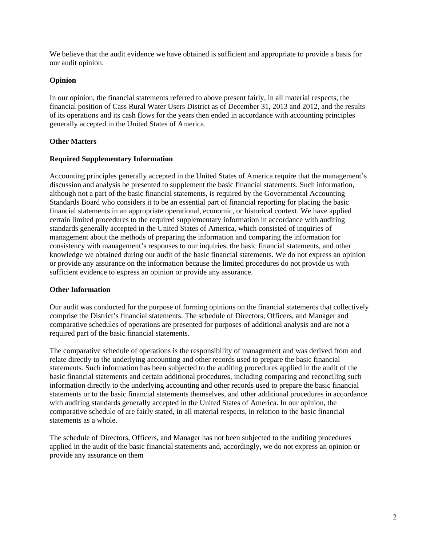We believe that the audit evidence we have obtained is sufficient and appropriate to provide a basis for our audit opinion.

## **Opinion**

In our opinion, the financial statements referred to above present fairly, in all material respects, the financial position of Cass Rural Water Users District as of December 31, 2013 and 2012, and the results of its operations and its cash flows for the years then ended in accordance with accounting principles generally accepted in the United States of America.

## **Other Matters**

#### **Required Supplementary Information**

Accounting principles generally accepted in the United States of America require that the management's discussion and analysis be presented to supplement the basic financial statements. Such information, although not a part of the basic financial statements, is required by the Governmental Accounting Standards Board who considers it to be an essential part of financial reporting for placing the basic financial statements in an appropriate operational, economic, or historical context. We have applied certain limited procedures to the required supplementary information in accordance with auditing standards generally accepted in the United States of America, which consisted of inquiries of management about the methods of preparing the information and comparing the information for consistency with management's responses to our inquiries, the basic financial statements, and other knowledge we obtained during our audit of the basic financial statements. We do not express an opinion or provide any assurance on the information because the limited procedures do not provide us with sufficient evidence to express an opinion or provide any assurance.

#### **Other Information**

Our audit was conducted for the purpose of forming opinions on the financial statements that collectively comprise the District's financial statements. The schedule of Directors, Officers, and Manager and comparative schedules of operations are presented for purposes of additional analysis and are not a required part of the basic financial statements.

The comparative schedule of operations is the responsibility of management and was derived from and relate directly to the underlying accounting and other records used to prepare the basic financial statements. Such information has been subjected to the auditing procedures applied in the audit of the basic financial statements and certain additional procedures, including comparing and reconciling such information directly to the underlying accounting and other records used to prepare the basic financial statements or to the basic financial statements themselves, and other additional procedures in accordance with auditing standards generally accepted in the United States of America. In our opinion, the comparative schedule of are fairly stated, in all material respects, in relation to the basic financial statements as a whole.

The schedule of Directors, Officers, and Manager has not been subjected to the auditing procedures applied in the audit of the basic financial statements and, accordingly, we do not express an opinion or provide any assurance on them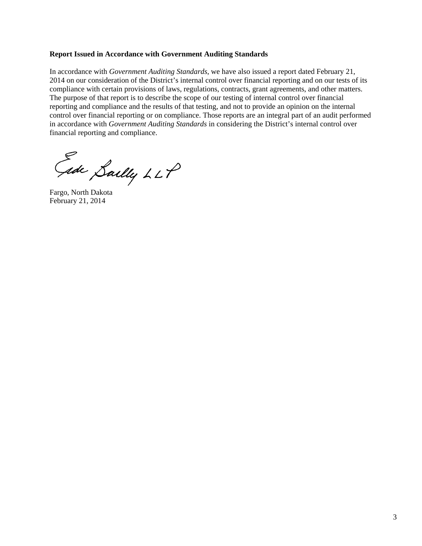#### **Report Issued in Accordance with Government Auditing Standards**

In accordance with *Government Auditing Standards*, we have also issued a report dated February 21, 2014 on our consideration of the District's internal control over financial reporting and on our tests of its compliance with certain provisions of laws, regulations, contracts, grant agreements, and other matters. The purpose of that report is to describe the scope of our testing of internal control over financial reporting and compliance and the results of that testing, and not to provide an opinion on the internal control over financial reporting or on compliance. Those reports are an integral part of an audit performed in accordance with *Government Auditing Standards* in considering the District's internal control over financial reporting and compliance.

Gide Sailly LLP

Fargo, North Dakota February 21, 2014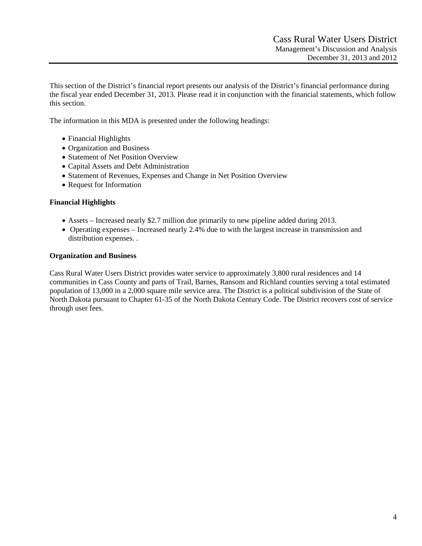This section of the District's financial report presents our analysis of the District's financial performance during the fiscal year ended December 31, 2013. Please read it in conjunction with the financial statements, which follow this section.

The information in this MDA is presented under the following headings:

- Financial Highlights
- Organization and Business
- Statement of Net Position Overview
- Capital Assets and Debt Administration
- Statement of Revenues, Expenses and Change in Net Position Overview
- Request for Information

#### **Financial Highlights**

- Assets Increased nearly \$2.7 million due primarily to new pipeline added during 2013.
- Operating expenses Increased nearly 2.4% due to with the largest increase in transmission and distribution expenses. .

#### **Organization and Business**

Cass Rural Water Users District provides water service to approximately 3,800 rural residences and 14 communities in Cass County and parts of Trail, Barnes, Ransom and Richland counties serving a total estimated population of 13,000 in a 2,000 square mile service area. The District is a political subdivision of the State of North Dakota pursuant to Chapter 61-35 of the North Dakota Century Code. The District recovers cost of service through user fees.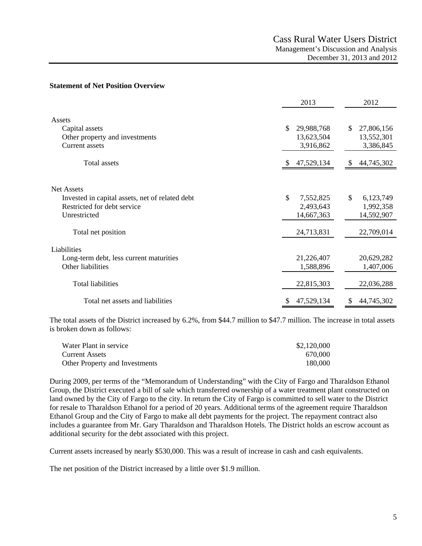#### **Statement of Net Position Overview**

|                                                                                                                     | 2013                                                     | 2012                                                     |
|---------------------------------------------------------------------------------------------------------------------|----------------------------------------------------------|----------------------------------------------------------|
| Assets<br>Capital assets<br>Other property and investments<br><b>Current</b> assets                                 | \$<br>29,988,768<br>13,623,504<br>3,916,862              | \$<br>27,806,156<br>13,552,301<br>3,386,845              |
| <b>Total assets</b>                                                                                                 | 47,529,134                                               | 44,745,302                                               |
| <b>Net Assets</b><br>Invested in capital assets, net of related debt<br>Restricted for debt service<br>Unrestricted | \$<br>7,552,825<br>2,493,643<br>14,667,363<br>24,713,831 | \$<br>6,123,749<br>1,992,358<br>14,592,907<br>22,709,014 |
| Total net position<br>Liabilities<br>Long-term debt, less current maturities<br>Other liabilities                   | 21,226,407<br>1,588,896                                  | 20,629,282<br>1,407,006                                  |
| <b>Total liabilities</b>                                                                                            | 22,815,303                                               | 22,036,288                                               |
| Total net assets and liabilities                                                                                    | 47,529,134<br>\$                                         | 44,745,302<br>\$                                         |

The total assets of the District increased by 6.2%, from \$44.7 million to \$47.7 million. The increase in total assets is broken down as follows:

| Water Plant in service         | \$2,120,000 |
|--------------------------------|-------------|
| <b>Current Assets</b>          | 670,000     |
| Other Property and Investments | 180,000     |

During 2009, per terms of the "Memorandum of Understanding" with the City of Fargo and Tharaldson Ethanol Group, the District executed a bill of sale which transferred ownership of a water treatment plant constructed on land owned by the City of Fargo to the city. In return the City of Fargo is committed to sell water to the District for resale to Tharaldson Ethanol for a period of 20 years. Additional terms of the agreement require Tharaldson Ethanol Group and the City of Fargo to make all debt payments for the project. The repayment contract also includes a guarantee from Mr. Gary Tharaldson and Tharaldson Hotels. The District holds an escrow account as additional security for the debt associated with this project.

Current assets increased by nearly \$530,000. This was a result of increase in cash and cash equivalents.

The net position of the District increased by a little over \$1.9 million.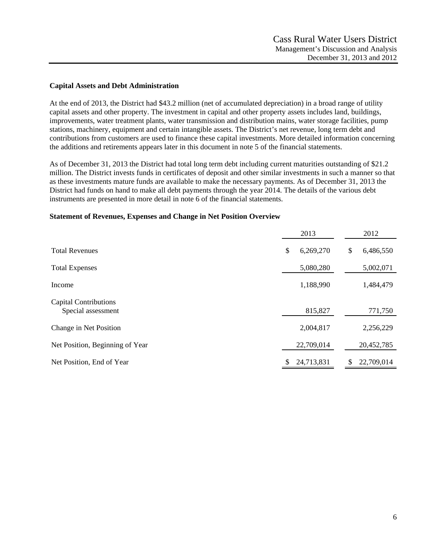#### **Capital Assets and Debt Administration**

At the end of 2013, the District had \$43.2 million (net of accumulated depreciation) in a broad range of utility capital assets and other property. The investment in capital and other property assets includes land, buildings, improvements, water treatment plants, water transmission and distribution mains, water storage facilities, pump stations, machinery, equipment and certain intangible assets. The District's net revenue, long term debt and contributions from customers are used to finance these capital investments. More detailed information concerning the additions and retirements appears later in this document in note 5 of the financial statements.

As of December 31, 2013 the District had total long term debt including current maturities outstanding of \$21.2 million. The District invests funds in certificates of deposit and other similar investments in such a manner so that as these investments mature funds are available to make the necessary payments. As of December 31, 2013 the District had funds on hand to make all debt payments through the year 2014. The details of the various debt instruments are presented in more detail in note 6 of the financial statements.

#### **Statement of Revenues, Expenses and Change in Net Position Overview**

|                                                    | 2013            | 2012            |
|----------------------------------------------------|-----------------|-----------------|
| <b>Total Revenues</b>                              | \$<br>6,269,270 | \$<br>6,486,550 |
| <b>Total Expenses</b>                              | 5,080,280       | 5,002,071       |
| Income                                             | 1,188,990       | 1,484,479       |
| <b>Capital Contributions</b><br>Special assessment | 815,827         | 771,750         |
| Change in Net Position                             | 2,004,817       | 2,256,229       |
| Net Position, Beginning of Year                    | 22,709,014      | 20,452,785      |
| Net Position, End of Year                          | 24,713,831      | 22,709,014      |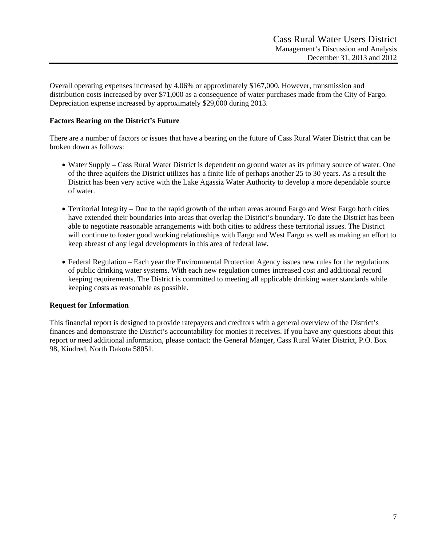Overall operating expenses increased by 4.06% or approximately \$167,000. However, transmission and distribution costs increased by over \$71,000 as a consequence of water purchases made from the City of Fargo. Depreciation expense increased by approximately \$29,000 during 2013.

## **Factors Bearing on the District's Future**

There are a number of factors or issues that have a bearing on the future of Cass Rural Water District that can be broken down as follows:

- Water Supply Cass Rural Water District is dependent on ground water as its primary source of water. One of the three aquifers the District utilizes has a finite life of perhaps another 25 to 30 years. As a result the District has been very active with the Lake Agassiz Water Authority to develop a more dependable source of water.
- Territorial Integrity Due to the rapid growth of the urban areas around Fargo and West Fargo both cities have extended their boundaries into areas that overlap the District's boundary. To date the District has been able to negotiate reasonable arrangements with both cities to address these territorial issues. The District will continue to foster good working relationships with Fargo and West Fargo as well as making an effort to keep abreast of any legal developments in this area of federal law.
- Federal Regulation Each year the Environmental Protection Agency issues new rules for the regulations of public drinking water systems. With each new regulation comes increased cost and additional record keeping requirements. The District is committed to meeting all applicable drinking water standards while keeping costs as reasonable as possible.

#### **Request for Information**

This financial report is designed to provide ratepayers and creditors with a general overview of the District's finances and demonstrate the District's accountability for monies it receives. If you have any questions about this report or need additional information, please contact: the General Manger, Cass Rural Water District, P.O. Box 98, Kindred, North Dakota 58051.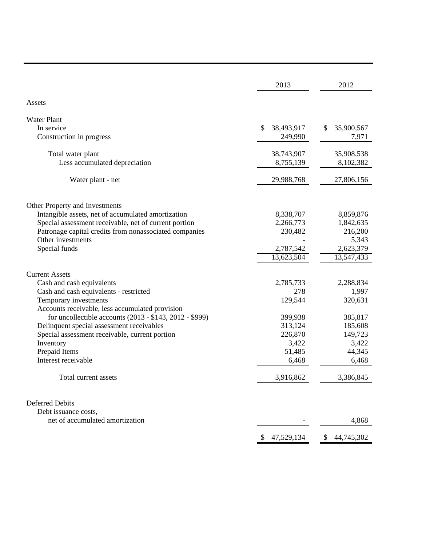|                                                         | 2013             | 2012             |
|---------------------------------------------------------|------------------|------------------|
| Assets                                                  |                  |                  |
| <b>Water Plant</b>                                      |                  |                  |
| In service                                              | \$<br>38,493,917 | 35,900,567<br>S  |
| Construction in progress                                | 249,990          | 7,971            |
|                                                         |                  |                  |
| Total water plant                                       | 38,743,907       | 35,908,538       |
| Less accumulated depreciation                           | 8,755,139        | 8,102,382        |
|                                                         |                  |                  |
| Water plant - net                                       | 29,988,768       | 27,806,156       |
|                                                         |                  |                  |
| Other Property and Investments                          |                  |                  |
| Intangible assets, net of accumulated amortization      | 8,338,707        | 8,859,876        |
| Special assessment receivable, net of current portion   | 2,266,773        | 1,842,635        |
| Patronage capital credits from nonassociated companies  | 230,482          | 216,200          |
| Other investments                                       |                  | 5,343            |
| Special funds                                           | 2,787,542        | 2,623,379        |
|                                                         | 13,623,504       | 13,547,433       |
|                                                         |                  |                  |
| <b>Current Assets</b>                                   |                  |                  |
| Cash and cash equivalents                               | 2,785,733        | 2,288,834        |
| Cash and cash equivalents - restricted                  | 278              | 1,997            |
| Temporary investments                                   | 129,544          | 320,631          |
| Accounts receivable, less accumulated provision         |                  |                  |
| for uncollectible accounts (2013 - \$143, 2012 - \$999) | 399,938          | 385,817          |
| Delinquent special assessment receivables               | 313,124          | 185,608          |
| Special assessment receivable, current portion          | 226,870          | 149,723          |
| Inventory                                               | 3,422            | 3,422            |
| Prepaid Items                                           | 51,485           | 44,345           |
| Interest receivable                                     | 6,468            | 6,468            |
| Total current assets                                    | 3,916,862        | 3,386,845        |
|                                                         |                  |                  |
| <b>Deferred Debits</b>                                  |                  |                  |
| Debt issuance costs,                                    |                  |                  |
| net of accumulated amortization                         |                  | 4,868            |
|                                                         | 47,529,134<br>\$ | 44,745,302<br>\$ |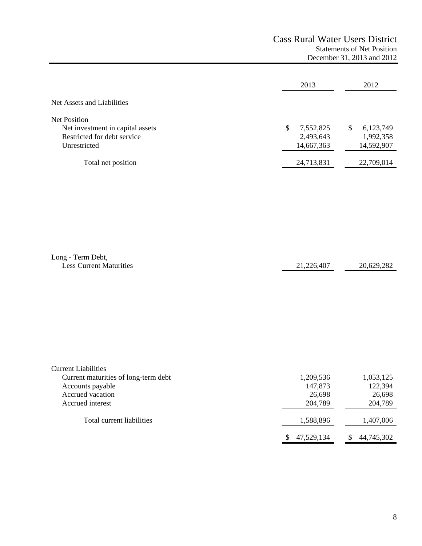# Cass Rural Water Users District Statements of Net Position December 31, 2013 and 2012

|                                                  | 2013                    | 2012                    |
|--------------------------------------------------|-------------------------|-------------------------|
| Net Assets and Liabilities                       |                         |                         |
| Net Position<br>Net investment in capital assets | 7,552,825<br>S          | 6,123,749<br>S          |
| Restricted for debt service<br>Unrestricted      | 2,493,643<br>14,667,363 | 1,992,358<br>14,592,907 |
| Total net position                               | 24,713,831              | 22,709,014              |

| Long - Term Debt,              |            |            |
|--------------------------------|------------|------------|
| <b>Less Current Maturities</b> | 21,226,407 | 20,629,282 |

| <b>Current Liabilities</b>           |            |            |
|--------------------------------------|------------|------------|
| Current maturities of long-term debt | 1,209,536  | 1,053,125  |
| Accounts payable                     | 147,873    | 122,394    |
| Accrued vacation                     | 26,698     | 26,698     |
| Accrued interest                     | 204,789    | 204,789    |
| Total current liabilities            | 1,588,896  | 1,407,006  |
|                                      | 47,529,134 | 44,745,302 |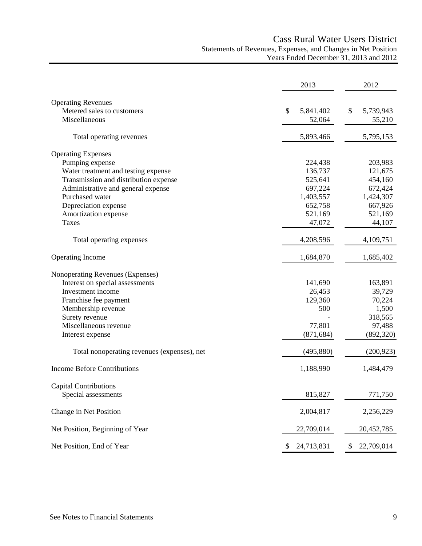# Cass Rural Water Users District Statements of Revenues, Expenses, and Changes in Net Position Years Ended December 31, 2013 and 2012

|                                             | 2013            | 2012             |
|---------------------------------------------|-----------------|------------------|
| <b>Operating Revenues</b>                   |                 |                  |
| Metered sales to customers                  | 5,841,402<br>\$ | 5,739,943<br>\$  |
| Miscellaneous                               | 52,064          | 55,210           |
| Total operating revenues                    | 5,893,466       | 5,795,153        |
| <b>Operating Expenses</b>                   |                 |                  |
| Pumping expense                             | 224,438         | 203,983          |
| Water treatment and testing expense         | 136,737         | 121,675          |
| Transmission and distribution expense       | 525,641         | 454,160          |
| Administrative and general expense          | 697,224         | 672,424          |
| Purchased water                             | 1,403,557       | 1,424,307        |
| Depreciation expense                        | 652,758         | 667,926          |
| Amortization expense                        | 521,169         | 521,169          |
| Taxes                                       | 47,072          | 44,107           |
| Total operating expenses                    | 4,208,596       | 4,109,751        |
| Operating Income                            | 1,684,870       | 1,685,402        |
| Nonoperating Revenues (Expenses)            |                 |                  |
| Interest on special assessments             | 141,690         | 163,891          |
| Investment income                           | 26,453          | 39,729           |
| Franchise fee payment                       | 129,360         | 70,224           |
| Membership revenue                          | 500             | 1,500            |
| Surety revenue                              |                 | 318,565          |
| Miscellaneous revenue                       | 77,801          | 97,488           |
| Interest expense                            | (871, 684)      | (892, 320)       |
| Total nonoperating revenues (expenses), net | (495, 880)      | (200, 923)       |
| <b>Income Before Contributions</b>          | 1,188,990       | 1,484,479        |
| <b>Capital Contributions</b>                |                 |                  |
| Special assessments                         | 815,827         | 771,750          |
| Change in Net Position                      | 2,004,817       | 2,256,229        |
| Net Position, Beginning of Year             | 22,709,014      | 20,452,785       |
| Net Position, End of Year                   | 24,713,831      | 22,709,014<br>\$ |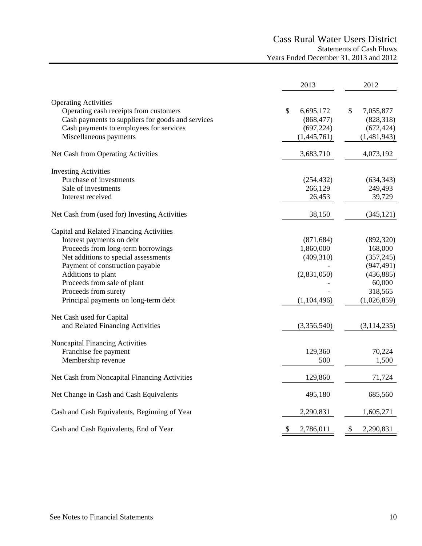# Cass Rural Water Users District Statements of Cash Flows Years Ended December 31, 2013 and 2012

|                                                   | 2013                      | 2012                       |
|---------------------------------------------------|---------------------------|----------------------------|
| <b>Operating Activities</b>                       |                           |                            |
| Operating cash receipts from customers            | $\mathbb{S}$<br>6,695,172 | $\mathcal{S}$<br>7,055,877 |
| Cash payments to suppliers for goods and services | (868, 477)                | (828, 318)                 |
| Cash payments to employees for services           | (697, 224)                | (672, 424)                 |
| Miscellaneous payments                            | (1,445,761)               | (1,481,943)                |
| Net Cash from Operating Activities                | 3,683,710                 | 4,073,192                  |
| <b>Investing Activities</b>                       |                           |                            |
| Purchase of investments                           | (254, 432)                | (634, 343)                 |
| Sale of investments                               | 266,129                   | 249,493                    |
| Interest received                                 | 26,453                    | 39,729                     |
| Net Cash from (used for) Investing Activities     | 38,150                    | (345, 121)                 |
| Capital and Related Financing Activities          |                           |                            |
| Interest payments on debt                         | (871, 684)                | (892, 320)                 |
| Proceeds from long-term borrowings                | 1,860,000                 | 168,000                    |
| Net additions to special assessments              | (409,310)                 | (357, 245)                 |
| Payment of construction payable                   |                           | (947, 491)                 |
| Additions to plant                                | (2,831,050)               | (436, 885)                 |
| Proceeds from sale of plant                       |                           | 60,000                     |
| Proceeds from surety                              |                           | 318,565                    |
| Principal payments on long-term debt              | (1,104,496)               | (1,026,859)                |
| Net Cash used for Capital                         |                           |                            |
| and Related Financing Activities                  | (3,356,540)               | (3, 114, 235)              |
| Noncapital Financing Activities                   |                           |                            |
| Franchise fee payment                             | 129,360                   | 70,224                     |
| Membership revenue                                | 500                       | 1,500                      |
| Net Cash from Noncapital Financing Activities     | 129,860                   | 71,724                     |
| Net Change in Cash and Cash Equivalents           | 495,180                   | 685,560                    |
| Cash and Cash Equivalents, Beginning of Year      | 2,290,831                 | 1,605,271                  |
| Cash and Cash Equivalents, End of Year            | \$<br>2,786,011           | \$<br>2,290,831            |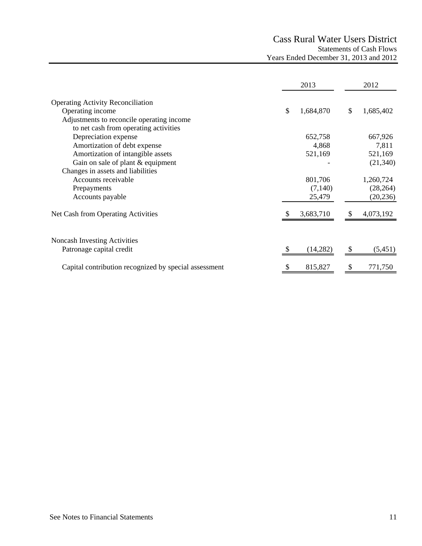# Cass Rural Water Users District Statements of Cash Flows Years Ended December 31, 2013 and 2012

|                                                       | 2013            |          | 2012      |
|-------------------------------------------------------|-----------------|----------|-----------|
| <b>Operating Activity Reconciliation</b>              |                 |          |           |
| Operating income                                      | \$<br>1,684,870 | \$       | 1,685,402 |
| Adjustments to reconcile operating income             |                 |          |           |
| to net cash from operating activities                 |                 |          |           |
| Depreciation expense                                  | 652,758         |          | 667,926   |
| Amortization of debt expense                          | 4,868           |          | 7,811     |
| Amortization of intangible assets                     | 521,169         |          | 521,169   |
| Gain on sale of plant & equipment                     |                 |          | (21, 340) |
| Changes in assets and liabilities                     |                 |          |           |
| Accounts receivable                                   | 801,706         |          | 1,260,724 |
| Prepayments                                           | (7,140)         |          | (28, 264) |
| Accounts payable                                      | 25,479          |          | (20, 236) |
| Net Cash from Operating Activities                    | 3,683,710       | <b>S</b> | 4,073,192 |
| Noncash Investing Activities                          |                 |          |           |
| Patronage capital credit                              | (14, 282)       |          | (5,451)   |
| Capital contribution recognized by special assessment | 815,827         | S        | 771,750   |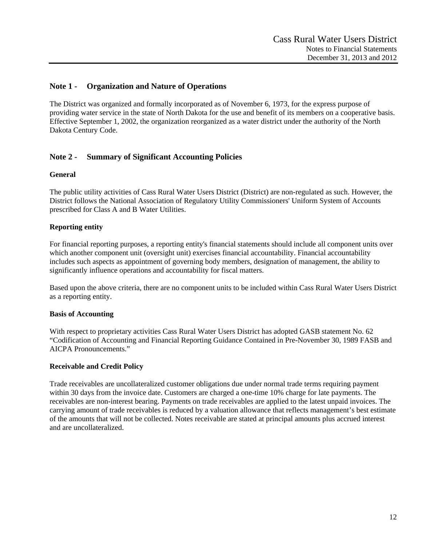## **Note 1 - Organization and Nature of Operations**

The District was organized and formally incorporated as of November 6, 1973, for the express purpose of providing water service in the state of North Dakota for the use and benefit of its members on a cooperative basis. Effective September 1, 2002, the organization reorganized as a water district under the authority of the North Dakota Century Code.

# **Note 2 - Summary of Significant Accounting Policies**

## **General**

The public utility activities of Cass Rural Water Users District (District) are non-regulated as such. However, the District follows the National Association of Regulatory Utility Commissioners' Uniform System of Accounts prescribed for Class A and B Water Utilities.

## **Reporting entity**

For financial reporting purposes, a reporting entity's financial statements should include all component units over which another component unit (oversight unit) exercises financial accountability. Financial accountability includes such aspects as appointment of governing body members, designation of management, the ability to significantly influence operations and accountability for fiscal matters.

Based upon the above criteria, there are no component units to be included within Cass Rural Water Users District as a reporting entity.

#### **Basis of Accounting**

With respect to proprietary activities Cass Rural Water Users District has adopted GASB statement No. 62 "Codification of Accounting and Financial Reporting Guidance Contained in Pre-November 30, 1989 FASB and AICPA Pronouncements."

#### **Receivable and Credit Policy**

Trade receivables are uncollateralized customer obligations due under normal trade terms requiring payment within 30 days from the invoice date. Customers are charged a one-time 10% charge for late payments. The receivables are non-interest bearing. Payments on trade receivables are applied to the latest unpaid invoices. The carrying amount of trade receivables is reduced by a valuation allowance that reflects management's best estimate of the amounts that will not be collected. Notes receivable are stated at principal amounts plus accrued interest and are uncollateralized.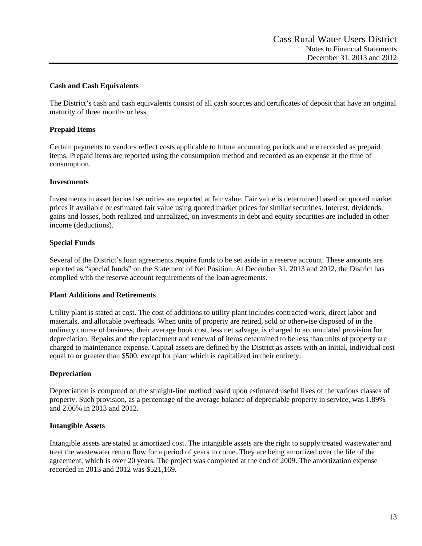## **Cash and Cash Equivalents**

The District's cash and cash equivalents consist of all cash sources and certificates of deposit that have an original maturity of three months or less.

## **Prepaid Items**

Certain payments to vendors reflect costs applicable to future accounting periods and are recorded as prepaid items. Prepaid items are reported using the consumption method and recorded as an expense at the time of consumption.

#### **Investments**

Investments in asset backed securities are reported at fair value. Fair value is determined based on quoted market prices if available or estimated fair value using quoted market prices for similar securities. Interest, dividends, gains and losses, both realized and unrealized, on investments in debt and equity securities are included in other income (deductions).

#### **Special Funds**

Several of the District's loan agreements require funds to be set aside in a reserve account. These amounts are reported as "special funds" on the Statement of Net Position. At December 31, 2013 and 2012, the District has complied with the reserve account requirements of the loan agreements.

#### **Plant Additions and Retirements**

Utility plant is stated at cost. The cost of additions to utility plant includes contracted work, direct labor and materials, and allocable overheads. When units of property are retired, sold or otherwise disposed of in the ordinary course of business, their average book cost, less net salvage, is charged to accumulated provision for depreciation. Repairs and the replacement and renewal of items determined to be less than units of property are charged to maintenance expense. Capital assets are defined by the District as assets with an initial, individual cost equal to or greater than \$500, except for plant which is capitalized in their entirety.

#### **Depreciation**

Depreciation is computed on the straight-line method based upon estimated useful lives of the various classes of property. Such provision, as a percentage of the average balance of depreciable property in service, was 1.89% and 2.06% in 2013 and 2012.

#### **Intangible Assets**

Intangible assets are stated at amortized cost. The intangible assets are the right to supply treated wastewater and treat the wastewater return flow for a period of years to come. They are being amortized over the life of the agreement, which is over 20 years. The project was completed at the end of 2009. The amortization expense recorded in 2013 and 2012 was \$521,169.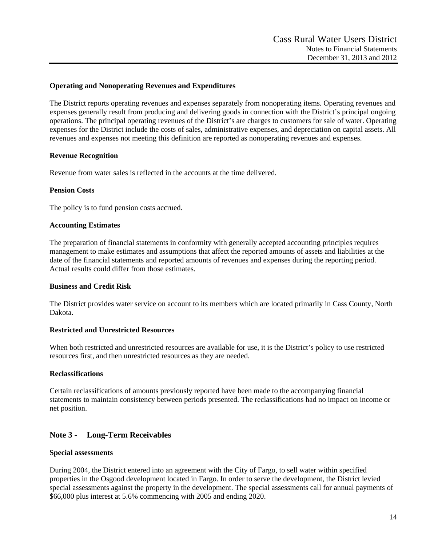## **Operating and Nonoperating Revenues and Expenditures**

The District reports operating revenues and expenses separately from nonoperating items. Operating revenues and expenses generally result from producing and delivering goods in connection with the District's principal ongoing operations. The principal operating revenues of the District's are charges to customers for sale of water. Operating expenses for the District include the costs of sales, administrative expenses, and depreciation on capital assets. All revenues and expenses not meeting this definition are reported as nonoperating revenues and expenses.

#### **Revenue Recognition**

Revenue from water sales is reflected in the accounts at the time delivered.

#### **Pension Costs**

The policy is to fund pension costs accrued.

#### **Accounting Estimates**

The preparation of financial statements in conformity with generally accepted accounting principles requires management to make estimates and assumptions that affect the reported amounts of assets and liabilities at the date of the financial statements and reported amounts of revenues and expenses during the reporting period. Actual results could differ from those estimates.

#### **Business and Credit Risk**

The District provides water service on account to its members which are located primarily in Cass County, North Dakota.

#### **Restricted and Unrestricted Resources**

When both restricted and unrestricted resources are available for use, it is the District's policy to use restricted resources first, and then unrestricted resources as they are needed.

#### **Reclassifications**

Certain reclassifications of amounts previously reported have been made to the accompanying financial statements to maintain consistency between periods presented. The reclassifications had no impact on income or net position.

## **Note 3 - Long-Term Receivables**

#### **Special assessments**

During 2004, the District entered into an agreement with the City of Fargo, to sell water within specified properties in the Osgood development located in Fargo. In order to serve the development, the District levied special assessments against the property in the development. The special assessments call for annual payments of \$66,000 plus interest at 5.6% commencing with 2005 and ending 2020.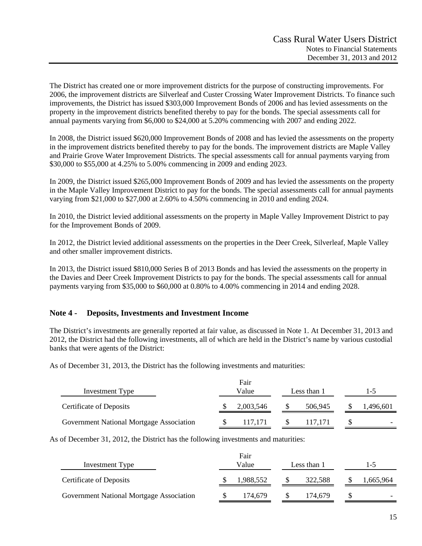The District has created one or more improvement districts for the purpose of constructing improvements. For 2006, the improvement districts are Silverleaf and Custer Crossing Water Improvement Districts. To finance such improvements, the District has issued \$303,000 Improvement Bonds of 2006 and has levied assessments on the property in the improvement districts benefited thereby to pay for the bonds. The special assessments call for annual payments varying from \$6,000 to \$24,000 at 5.20% commencing with 2007 and ending 2022.

In 2008, the District issued \$620,000 Improvement Bonds of 2008 and has levied the assessments on the property in the improvement districts benefited thereby to pay for the bonds. The improvement districts are Maple Valley and Prairie Grove Water Improvement Districts. The special assessments call for annual payments varying from \$30,000 to \$55,000 at 4.25% to 5.00% commencing in 2009 and ending 2023.

In 2009, the District issued \$265,000 Improvement Bonds of 2009 and has levied the assessments on the property in the Maple Valley Improvement District to pay for the bonds. The special assessments call for annual payments varying from \$21,000 to \$27,000 at 2.60% to 4.50% commencing in 2010 and ending 2024.

In 2010, the District levied additional assessments on the property in Maple Valley Improvement District to pay for the Improvement Bonds of 2009.

In 2012, the District levied additional assessments on the properties in the Deer Creek, Silverleaf, Maple Valley and other smaller improvement districts.

In 2013, the District issued \$810,000 Series B of 2013 Bonds and has levied the assessments on the property in the Davies and Deer Creek Improvement Districts to pay for the bonds. The special assessments call for annual payments varying from \$35,000 to \$60,000 at 0.80% to 4.00% commencing in 2014 and ending 2028.

## **Note 4 - Deposits, Investments and Investment Income**

The District's investments are generally reported at fair value, as discussed in Note 1. At December 31, 2013 and 2012, the District had the following investments, all of which are held in the District's name by various custodial banks that were agents of the District:

As of December 31, 2013, the District has the following investments and maturities:

| Investment Type                          | Fair<br>Value |           | Less than 1 | 1-5 |                          |
|------------------------------------------|---------------|-----------|-------------|-----|--------------------------|
| <b>Certificate of Deposits</b>           |               | 2,003,546 | 506,945     |     | ,496,601                 |
| Government National Mortgage Association |               | 117.171   | 117.171     |     | $\overline{\phantom{0}}$ |

As of December 31, 2012, the District has the following investments and maturities:

| Investment Type                          | Fair<br>Value | Less than 1 | $1-5$     |  |  |
|------------------------------------------|---------------|-------------|-----------|--|--|
| <b>Certificate of Deposits</b>           | 1,988,552     | 322.588     | 1,665,964 |  |  |
| Government National Mortgage Association | 174.679       | 174.679     |           |  |  |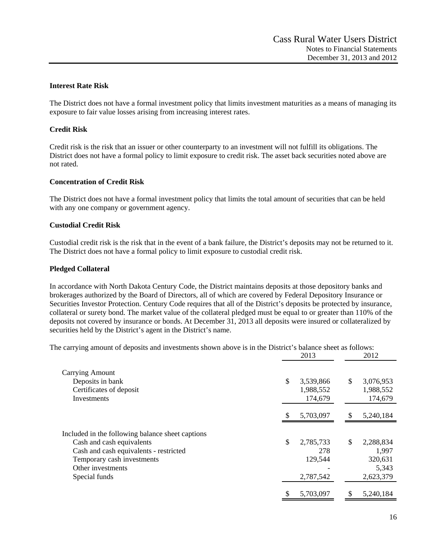## **Interest Rate Risk**

The District does not have a formal investment policy that limits investment maturities as a means of managing its exposure to fair value losses arising from increasing interest rates.

## **Credit Risk**

Credit risk is the risk that an issuer or other counterparty to an investment will not fulfill its obligations. The District does not have a formal policy to limit exposure to credit risk. The asset back securities noted above are not rated.

#### **Concentration of Credit Risk**

The District does not have a formal investment policy that limits the total amount of securities that can be held with any one company or government agency.

#### **Custodial Credit Risk**

Custodial credit risk is the risk that in the event of a bank failure, the District's deposits may not be returned to it. The District does not have a formal policy to limit exposure to custodial credit risk.

#### **Pledged Collateral**

In accordance with North Dakota Century Code, the District maintains deposits at those depository banks and brokerages authorized by the Board of Directors, all of which are covered by Federal Depository Insurance or Securities Investor Protection. Century Code requires that all of the District's deposits be protected by insurance, collateral or surety bond. The market value of the collateral pledged must be equal to or greater than 110% of the deposits not covered by insurance or bonds. At December 31, 2013 all deposits were insured or collateralized by securities held by the District's agent in the District's name.

The carrying amount of deposits and investments shown above is in the District's balance sheet as follows:

|                                                  | 2013            | 2012            |
|--------------------------------------------------|-----------------|-----------------|
| <b>Carrying Amount</b>                           |                 |                 |
| Deposits in bank                                 | \$<br>3,539,866 | \$<br>3,076,953 |
| Certificates of deposit                          | 1,988,552       | 1,988,552       |
| Investments                                      | 174,679         | 174,679         |
|                                                  | \$<br>5,703,097 | \$<br>5,240,184 |
| Included in the following balance sheet captions |                 |                 |
| Cash and cash equivalents                        | \$<br>2,785,733 | \$<br>2,288,834 |
| Cash and cash equivalents - restricted           | 278             | 1,997           |
| Temporary cash investments                       | 129,544         | 320,631         |
| Other investments                                |                 | 5,343           |
| Special funds                                    | 2,787,542       | 2,623,379       |
|                                                  | \$<br>5,703,097 | \$<br>5,240,184 |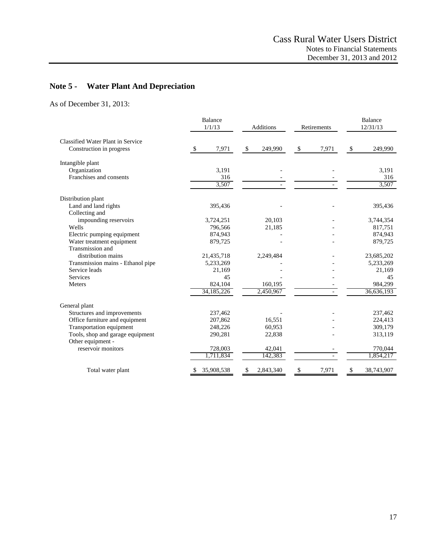# **Note 5 - Water Plant And Depreciation**

As of December 31, 2013:

|                                   | <b>Balance</b><br>1/1/13 |            | <b>Additions</b> |           | Retirements |       | <b>Balance</b><br>12/31/13 |            |
|-----------------------------------|--------------------------|------------|------------------|-----------|-------------|-------|----------------------------|------------|
| Classified Water Plant in Service |                          |            |                  |           |             |       |                            |            |
| Construction in progress          | \$                       | 7,971      | $\mathbb{S}$     | 249,990   | \$          | 7,971 | \$                         | 249,990    |
| Intangible plant                  |                          |            |                  |           |             |       |                            |            |
| Organization                      |                          | 3,191      |                  |           |             |       |                            | 3,191      |
| Franchises and consents           |                          | 316        |                  |           |             |       |                            | 316        |
|                                   |                          | 3,507      |                  |           |             |       |                            | 3,507      |
| Distribution plant                |                          |            |                  |           |             |       |                            |            |
| Land and land rights              |                          | 395,436    |                  |           |             |       |                            | 395,436    |
| Collecting and                    |                          |            |                  |           |             |       |                            |            |
| impounding reservoirs             |                          | 3,724,251  |                  | 20,103    |             |       |                            | 3,744,354  |
| Wells                             |                          | 796,566    |                  | 21,185    |             |       |                            | 817,751    |
| Electric pumping equipment        |                          | 874,943    |                  |           |             |       |                            | 874,943    |
| Water treatment equipment         |                          | 879,725    |                  |           |             |       |                            | 879,725    |
| Transmission and                  |                          |            |                  |           |             |       |                            |            |
| distribution mains                |                          | 21,435,718 |                  | 2,249,484 |             |       |                            | 23,685,202 |
| Transmission mains - Ethanol pipe |                          | 5,233,269  |                  |           |             |       |                            | 5,233,269  |
| Service leads                     |                          | 21,169     |                  |           |             |       |                            | 21,169     |
| Services                          |                          | 45         |                  |           |             |       |                            | 45         |
| <b>Meters</b>                     |                          | 824,104    |                  | 160,195   |             |       |                            | 984,299    |
|                                   |                          | 34,185,226 |                  | 2,450,967 |             |       |                            | 36,636,193 |
| General plant                     |                          |            |                  |           |             |       |                            |            |
| Structures and improvements       |                          | 237,462    |                  |           |             |       |                            | 237,462    |
| Office furniture and equipment    |                          | 207,862    |                  | 16,551    |             |       |                            | 224,413    |
| Transportation equipment          |                          | 248,226    |                  | 60,953    |             |       |                            | 309,179    |
| Tools, shop and garage equipment  |                          | 290,281    |                  | 22,838    |             |       |                            | 313,119    |
| Other equipment -                 |                          |            |                  |           |             |       |                            |            |
| reservoir monitors                |                          | 728,003    |                  | 42,041    |             |       |                            | 770,044    |
|                                   |                          | 1,711,834  |                  | 142,383   |             |       |                            | 1,854,217  |
| Total water plant                 |                          | 35,908,538 | \$               | 2,843,340 | \$          | 7,971 | \$                         | 38,743,907 |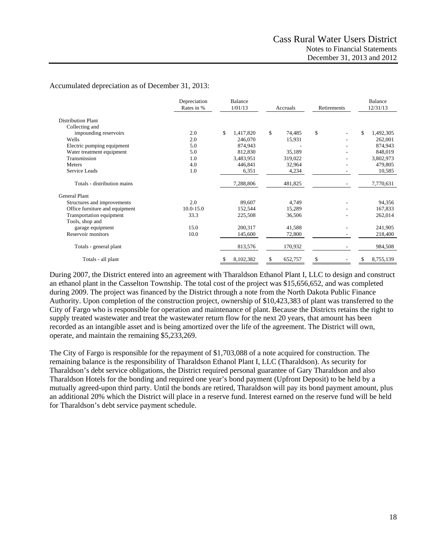## Accumulated depreciation as of December 31, 2013:

|                                | Depreciation<br>Rates in % | Balance<br>1/01/13 | Accruals      | Retirements | Balance<br>12/31/13 |  |
|--------------------------------|----------------------------|--------------------|---------------|-------------|---------------------|--|
| <b>Distribution Plant</b>      |                            |                    |               |             |                     |  |
| Collecting and                 |                            |                    |               |             |                     |  |
| impounding reservoirs          | 2.0                        | \$<br>1,417,820    | \$<br>74,485  | \$          | \$<br>1,492,305     |  |
| Wells                          | 2.0                        | 246,070            | 15,931        |             | 262,001             |  |
| Electric pumping equipment     | 5.0                        | 874,943            |               |             | 874,943             |  |
| Water treatment equipment      | 5.0                        | 812,830            | 35,189        |             | 848,019             |  |
| Transmission                   | 1.0                        | 3,483,951          | 319,022       |             | 3,802,973           |  |
| <b>Meters</b>                  | 4.0                        | 446,841            | 32,964        |             | 479,805             |  |
| Service Leads                  | 1.0                        | 6,351              | 4,234         |             | 10,585              |  |
| Totals - distribution mains    |                            | 7,288,806          | 481,825       |             | 7,770,631           |  |
| <b>General Plant</b>           |                            |                    |               |             |                     |  |
| Structures and improvements    | 2.0                        | 89,607             | 4,749         |             | 94,356              |  |
| Office furniture and equipment | $10.0 - 15.0$              | 152,544            | 15,289        |             | 167,833             |  |
| Transportation equipment       | 33.3                       | 225,508            | 36,506        |             | 262,014             |  |
| Tools, shop and                |                            |                    |               |             |                     |  |
| garage equipment               | 15.0                       | 200,317            | 41,588        |             | 241,905             |  |
| Reservoir monitors             | 10.0                       | 145,600            | 72,800        |             | 218,400             |  |
| Totals - general plant         |                            | 813,576            | 170,932       |             | 984,508             |  |
| Totals - all plant             |                            | 8,102,382<br>S     | 652,757<br>\$ | \$          | \$<br>8,755,139     |  |

During 2007, the District entered into an agreement with Tharaldson Ethanol Plant I, LLC to design and construct an ethanol plant in the Casselton Township. The total cost of the project was \$15,656,652, and was completed during 2009. The project was financed by the District through a note from the North Dakota Public Finance Authority. Upon completion of the construction project, ownership of \$10,423,383 of plant was transferred to the City of Fargo who is responsible for operation and maintenance of plant. Because the Districts retains the right to supply treated wastewater and treat the wastewater return flow for the next 20 years, that amount has been recorded as an intangible asset and is being amortized over the life of the agreement. The District will own, operate, and maintain the remaining \$5,233,269.

The City of Fargo is responsible for the repayment of \$1,703,088 of a note acquired for construction. The remaining balance is the responsibility of Tharaldson Ethanol Plant I, LLC (Tharaldson). As security for Tharaldson's debt service obligations, the District required personal guarantee of Gary Tharaldson and also Tharaldson Hotels for the bonding and required one year's bond payment (Upfront Deposit) to be held by a mutually agreed-upon third party. Until the bonds are retired, Tharaldson will pay its bond payment amount, plus an additional 20% which the District will place in a reserve fund. Interest earned on the reserve fund will be held for Tharaldson's debt service payment schedule.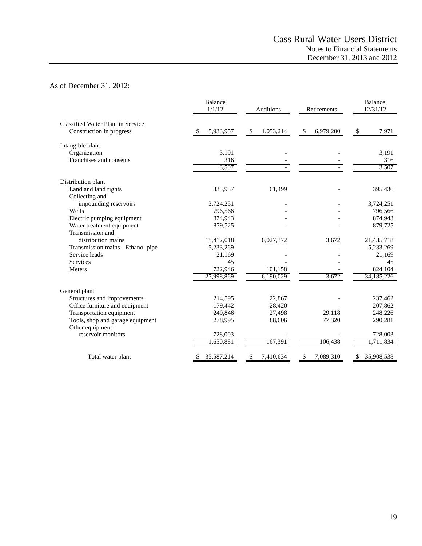# As of December 31, 2012:

|                                                    | <b>Balance</b><br>1/1/12 | <b>Additions</b> | Retirements     | <b>Balance</b><br>12/31/12 |  |
|----------------------------------------------------|--------------------------|------------------|-----------------|----------------------------|--|
| Classified Water Plant in Service                  |                          |                  |                 |                            |  |
| Construction in progress                           | 5,933,957<br>-S          | \$<br>1,053,214  | \$<br>6,979,200 | 7,971<br>\$                |  |
| Intangible plant                                   |                          |                  |                 |                            |  |
| Organization                                       | 3,191                    |                  |                 | 3,191                      |  |
| Franchises and consents                            | 316                      |                  |                 | 316                        |  |
|                                                    | 3,507                    |                  |                 | 3,507                      |  |
| Distribution plant                                 |                          |                  |                 |                            |  |
| Land and land rights                               | 333,937                  | 61,499           |                 | 395,436                    |  |
| Collecting and                                     |                          |                  |                 |                            |  |
| impounding reservoirs                              | 3,724,251                |                  |                 | 3,724,251                  |  |
| Wells                                              | 796,566                  |                  |                 | 796,566                    |  |
| Electric pumping equipment                         | 874,943                  |                  |                 | 874,943                    |  |
| Water treatment equipment                          | 879.725                  |                  |                 | 879,725                    |  |
| Transmission and                                   |                          |                  |                 |                            |  |
| distribution mains                                 | 15,412,018               | 6,027,372        | 3,672           | 21,435,718                 |  |
| Transmission mains - Ethanol pipe<br>Service leads | 5,233,269                |                  |                 | 5,233,269                  |  |
| <b>Services</b>                                    | 21,169<br>45             |                  |                 | 21,169                     |  |
| Meters                                             | 722,946                  | 101,158          |                 | 45<br>824,104              |  |
|                                                    | 27,998,869               | 6,190,029        | 3,672           | 34, 185, 226               |  |
|                                                    |                          |                  |                 |                            |  |
| General plant<br>Structures and improvements       | 214,595                  | 22,867           |                 | 237,462                    |  |
| Office furniture and equipment                     | 179,442                  | 28,420           |                 | 207,862                    |  |
| Transportation equipment                           | 249,846                  | 27,498           | 29,118          | 248,226                    |  |
| Tools, shop and garage equipment                   | 278,995                  | 88,606           | 77,320          | 290,281                    |  |
| Other equipment -                                  |                          |                  |                 |                            |  |
| reservoir monitors                                 | 728,003                  |                  |                 | 728,003                    |  |
|                                                    | 1,650,881                | 167,391          | 106,438         | 1,711,834                  |  |
| Total water plant                                  | 35,587,214<br>S          | 7,410,634<br>\$  | 7,089,310<br>\$ | 35,908,538<br>S            |  |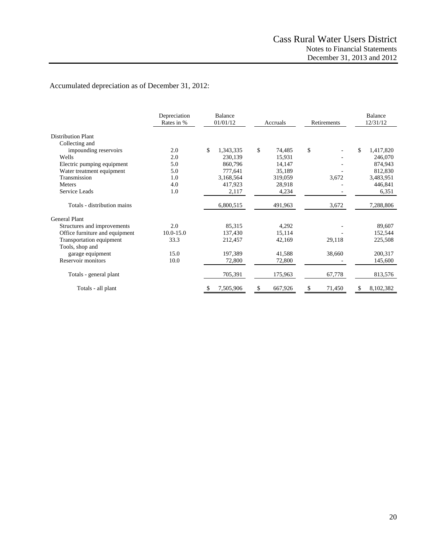# Accumulated depreciation as of December 31, 2012:

| Depreciation<br>Rates in %     |               | <b>Balance</b><br>01/01/12 | Accruals     | Retirements  | <b>Balance</b><br>12/31/12 |  |
|--------------------------------|---------------|----------------------------|--------------|--------------|----------------------------|--|
| <b>Distribution Plant</b>      |               |                            |              |              |                            |  |
| Collecting and                 |               |                            |              |              |                            |  |
| impounding reservoirs          | 2.0           | \$<br>1,343,335            | \$<br>74,485 | \$           | \$<br>1,417,820            |  |
| Wells                          | 2.0           | 230,139                    | 15,931       |              | 246,070                    |  |
| Electric pumping equipment     | 5.0           | 860,796                    | 14,147       |              | 874,943                    |  |
| Water treatment equipment      | 5.0           | 777,641                    | 35,189       |              | 812,830                    |  |
| Transmission                   | 1.0           | 3,168,564                  | 319,059      | 3,672        | 3,483,951                  |  |
| <b>Meters</b>                  | 4.0           | 417,923                    | 28,918       |              | 446,841                    |  |
| Service Leads                  | 1.0           | 2,117                      | 4,234        |              | 6,351                      |  |
| Totals - distribution mains    |               | 6,800,515                  | 491,963      | 3,672        | 7,288,806                  |  |
| <b>General Plant</b>           |               |                            |              |              |                            |  |
| Structures and improvements    | 2.0           | 85,315                     | 4,292        |              | 89,607                     |  |
| Office furniture and equipment | $10.0 - 15.0$ | 137,430                    | 15,114       |              | 152,544                    |  |
| Transportation equipment       | 33.3          | 212,457                    | 42,169       | 29,118       | 225,508                    |  |
| Tools, shop and                |               |                            |              |              |                            |  |
| garage equipment               | 15.0          | 197,389                    | 41,588       | 38,660       | 200,317                    |  |
| Reservoir monitors             | 10.0          | 72,800                     | 72,800       |              | 145,600                    |  |
| Totals - general plant         |               | 705,391                    | 175,963      | 67,778       | 813,576                    |  |
| Totals - all plant             |               | 7,505,906                  | 667,926      | 71,450<br>\$ | 8,102,382                  |  |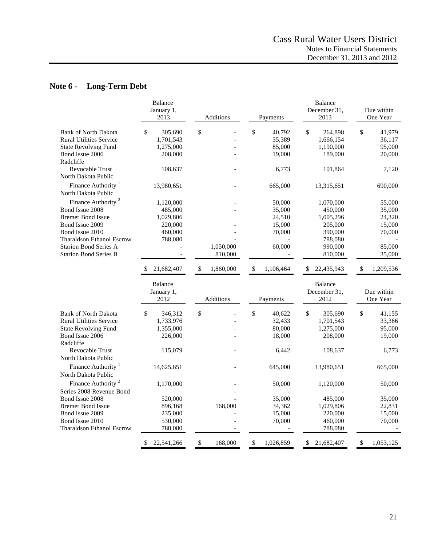# **Note 6 - Long-Term Debt**

|                                                                                                                                                                        | <b>Balance</b><br>January 1,                                  |                  |                                                     | <b>Balance</b><br>December 31,                                          | Due within                                          |
|------------------------------------------------------------------------------------------------------------------------------------------------------------------------|---------------------------------------------------------------|------------------|-----------------------------------------------------|-------------------------------------------------------------------------|-----------------------------------------------------|
|                                                                                                                                                                        | 2013                                                          | <b>Additions</b> | Payments                                            | 2013                                                                    | One Year                                            |
| <b>Bank of North Dakota</b><br><b>Rural Utilities Service</b><br><b>State Revolving Fund</b><br>Bond Issue 2006                                                        | \$<br>305,690<br>1,701,543<br>1,275,000<br>208,000            | \$               | \$<br>40,792<br>35,389<br>85,000<br>19,000          | \$<br>264,898<br>1,666,154<br>1,190,000<br>189,000                      | \$<br>41,979<br>36,117<br>95,000<br>20,000          |
| Radcliffe<br><b>Revocable Trust</b><br>North Dakota Public                                                                                                             | 108,637                                                       |                  | 6,773                                               | 101,864                                                                 | 7,120                                               |
| Finance Authority <sup>1</sup><br>North Dakota Public                                                                                                                  | 13,980,651                                                    |                  | 665,000                                             | 13,315,651                                                              | 690,000                                             |
| Finance Authority <sup>2</sup><br>Bond Issue 2008<br><b>Bremer Bond Issue</b>                                                                                          | 1,120,000<br>485,000<br>1,029,806                             |                  | 50,000<br>35,000<br>24,510                          | 1,070,000<br>450,000<br>1,005,296                                       | 55,000<br>35,000<br>24,320                          |
| Bond Issue 2009<br>Bond Issue 2010<br><b>Tharaldson Ethanol Escrow</b><br><b>Starion Bond Series A</b>                                                                 | 220,000<br>460,000<br>788,080                                 | 1,050,000        | 15,000<br>70,000<br>60,000                          | 205,000<br>390,000<br>788,080<br>990,000                                | 15,000<br>70,000<br>85,000                          |
| <b>Starion Bond Series B</b>                                                                                                                                           |                                                               | 810,000          |                                                     | 810,000                                                                 | 35,000                                              |
|                                                                                                                                                                        | 21,682,407<br>-S                                              | \$<br>1,860,000  | 1,106,464<br><sup>\$</sup>                          | \$<br>22,435,943                                                        | \$<br>1,209,536                                     |
|                                                                                                                                                                        | <b>Balance</b><br>January 1,<br>2012                          | Additions        | Payments                                            | <b>Balance</b><br>December 31,<br>2012                                  | Due within<br>One Year                              |
| <b>Bank of North Dakota</b><br><b>Rural Utilities Service</b><br><b>State Revolving Fund</b><br>Bond Issue 2006<br>Radcliffe<br>Revocable Trust<br>North Dakota Public | 346,312<br>\$<br>1,733,976<br>1,355,000<br>226,000<br>115,079 | \$               | \$<br>40,622<br>32,433<br>80,000<br>18,000<br>6,442 | $\mathbb{S}$<br>305,690<br>1,701,543<br>1,275,000<br>208,000<br>108,637 | \$<br>41,155<br>33,366<br>95,000<br>19,000<br>6,773 |
| Finance Authority <sup>1</sup><br>North Dakota Public                                                                                                                  | 14,625,651                                                    |                  | 645,000                                             | 13,980,651                                                              | 665,000                                             |
| Finance Authority <sup>2</sup><br>Series 2008 Revenue Bond                                                                                                             | 1,170,000                                                     |                  | 50,000                                              | 1,120,000                                                               | 50,000                                              |
| Bond Issue 2008<br><b>Bremer Bond Issue</b><br>Bond Issue 2009<br>Bond Issue 2010<br><b>Tharaldson Ethanol Escrow</b>                                                  | 520,000<br>896,168<br>235,000<br>530,000<br>788,080           | 168,000          | 35,000<br>34,362<br>15,000<br>70,000                | 485,000<br>1,029,806<br>220,000<br>460,000<br>788,080                   | 35,000<br>22,831<br>15,000<br>70,000                |
|                                                                                                                                                                        | \$<br>22,541,266                                              | \$<br>168,000    | $\$$<br>1,026,859                                   | 21,682,407<br>\$                                                        | \$<br>1,053,125                                     |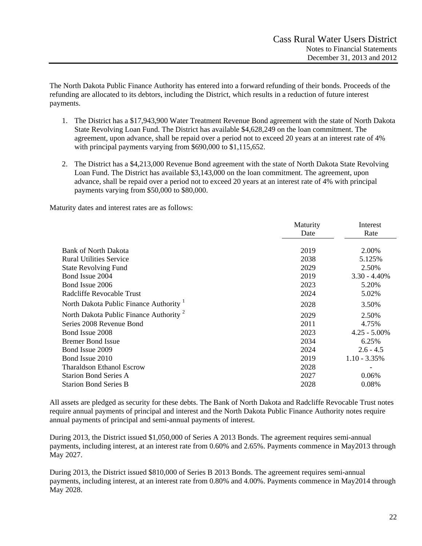The North Dakota Public Finance Authority has entered into a forward refunding of their bonds. Proceeds of the refunding are allocated to its debtors, including the District, which results in a reduction of future interest payments.

- 1. The District has a \$17,943,900 Water Treatment Revenue Bond agreement with the state of North Dakota State Revolving Loan Fund. The District has available \$4,628,249 on the loan commitment. The agreement, upon advance, shall be repaid over a period not to exceed 20 years at an interest rate of 4% with principal payments varying from \$690,000 to \$1,115,652.
- 2. The District has a \$4,213,000 Revenue Bond agreement with the state of North Dakota State Revolving Loan Fund. The District has available \$3,143,000 on the loan commitment. The agreement, upon advance, shall be repaid over a period not to exceed 20 years at an interest rate of 4% with principal payments varying from \$50,000 to \$80,000.

Maturity dates and interest rates are as follows:

|                                                    | Maturity | Interest        |
|----------------------------------------------------|----------|-----------------|
|                                                    | Date     | Rate            |
|                                                    |          |                 |
| <b>Bank of North Dakota</b>                        | 2019     | 2.00%           |
| <b>Rural Utilities Service</b>                     | 2038     | 5.125%          |
| <b>State Revolving Fund</b>                        | 2029     | 2.50%           |
| Bond Issue 2004                                    | 2019     | $3.30 - 4.40\%$ |
| Bond Issue 2006                                    | 2023     | 5.20%           |
| Radcliffe Revocable Trust                          | 2024     | 5.02%           |
| North Dakota Public Finance Authority              | 2028     | 3.50%           |
| North Dakota Public Finance Authority <sup>2</sup> | 2029     | 2.50%           |
| Series 2008 Revenue Bond                           | 2011     | 4.75%           |
| Bond Issue 2008                                    | 2023     | $4.25 - 5.00\%$ |
| <b>Bremer Bond Issue</b>                           | 2034     | 6.25%           |
| Bond Issue 2009                                    | 2024     | $2.6 - 4.5$     |
| Bond Issue 2010                                    | 2019     | $1.10 - 3.35\%$ |
| <b>Tharaldson Ethanol Escrow</b>                   | 2028     |                 |
| <b>Starion Bond Series A</b>                       | 2027     | 0.06%           |
| <b>Starion Bond Series B</b>                       | 2028     | 0.08%           |

All assets are pledged as security for these debts. The Bank of North Dakota and Radcliffe Revocable Trust notes require annual payments of principal and interest and the North Dakota Public Finance Authority notes require annual payments of principal and semi-annual payments of interest.

During 2013, the District issued \$1,050,000 of Series A 2013 Bonds. The agreement requires semi-annual payments, including interest, at an interest rate from 0.60% and 2.65%. Payments commence in May2013 through May 2027.

During 2013, the District issued \$810,000 of Series B 2013 Bonds. The agreement requires semi-annual payments, including interest, at an interest rate from 0.80% and 4.00%. Payments commence in May2014 through May 2028.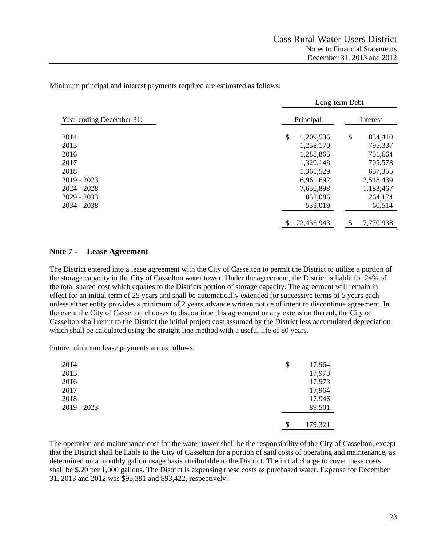Minimum principal and interest payments required are estimated as follows:

|                          | Long-term Debt   |                 |  |  |  |  |  |
|--------------------------|------------------|-----------------|--|--|--|--|--|
| Year ending December 31: | Principal        | Interest        |  |  |  |  |  |
| 2014                     | \$<br>1,209,536  | \$<br>834,410   |  |  |  |  |  |
| 2015                     | 1,258,170        | 795,337         |  |  |  |  |  |
| 2016                     | 1,288,865        | 751,664         |  |  |  |  |  |
| 2017                     | 1,320,148        | 705,578         |  |  |  |  |  |
| 2018                     | 1,361,529        | 657,355         |  |  |  |  |  |
| $2019 - 2023$            | 6,961,692        | 2,518,439       |  |  |  |  |  |
| $2024 - 2028$            | 7,650,898        | 1,183,467       |  |  |  |  |  |
| $2029 - 2033$            | 852,086          | 264,174         |  |  |  |  |  |
| $2034 - 2038$            | 533,019          | 60,514          |  |  |  |  |  |
|                          | \$<br>22,435,943 | \$<br>7,770,938 |  |  |  |  |  |

## **Note 7 - Lease Agreement**

The District entered into a lease agreement with the City of Casselton to permit the District to utilize a portion of the storage capacity in the City of Casselton water tower. Under the agreement, the District is liable for 24% of the total shared cost which equates to the Districts portion of storage capacity. The agreement will remain in effect for an initial term of 25 years and shall be automatically extended for successive terms of 5 years each unless either entity provides a minimum of 2 years advance written notice of intent to discontinue agreement. In the event the City of Casselton chooses to discontinue this agreement or any extension thereof, the City of Casselton shall remit to the District the initial project cost assumed by the District less accumulated depreciation which shall be calculated using the straight line method with a useful life of 80 years.

Future minimum lease payments are as follows:

| 2014        | \$<br>17,964  |
|-------------|---------------|
| 2015        | 17,973        |
| 2016        | 17,973        |
| 2017        | 17,964        |
| 2018        | 17,946        |
| 2019 - 2023 | 89,501        |
|             |               |
|             | \$<br>179,321 |

The operation and maintenance cost for the water tower shall be the responsibility of the City of Casselton, except that the District shall be liable to the City of Casselton for a portion of said costs of operating and maintenance, as determined on a monthly gallon usage basis attributable to the District. The initial charge to cover these costs shall be \$.20 per 1,000 gallons. The District is expensing these costs as purchased water. Expense for December 31, 2013 and 2012 was \$95,391 and \$93,422, respectively.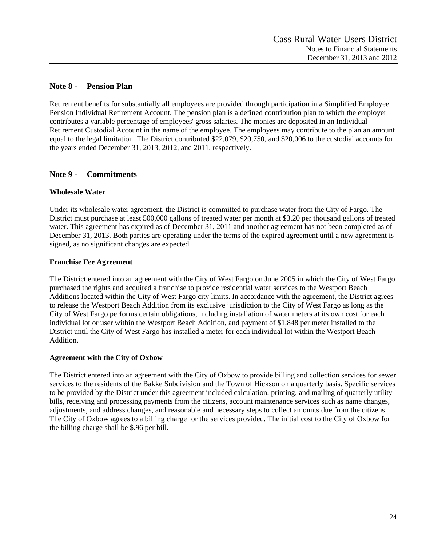## **Note 8 - Pension Plan**

Retirement benefits for substantially all employees are provided through participation in a Simplified Employee Pension Individual Retirement Account. The pension plan is a defined contribution plan to which the employer contributes a variable percentage of employees' gross salaries. The monies are deposited in an Individual Retirement Custodial Account in the name of the employee. The employees may contribute to the plan an amount equal to the legal limitation. The District contributed \$22,079, \$20,750, and \$20,006 to the custodial accounts for the years ended December 31, 2013, 2012, and 2011, respectively.

# **Note 9 - Commitments**

## **Wholesale Water**

Under its wholesale water agreement, the District is committed to purchase water from the City of Fargo. The District must purchase at least 500,000 gallons of treated water per month at \$3.20 per thousand gallons of treated water. This agreement has expired as of December 31, 2011 and another agreement has not been completed as of December 31, 2013. Both parties are operating under the terms of the expired agreement until a new agreement is signed, as no significant changes are expected.

## **Franchise Fee Agreement**

The District entered into an agreement with the City of West Fargo on June 2005 in which the City of West Fargo purchased the rights and acquired a franchise to provide residential water services to the Westport Beach Additions located within the City of West Fargo city limits. In accordance with the agreement, the District agrees to release the Westport Beach Addition from its exclusive jurisdiction to the City of West Fargo as long as the City of West Fargo performs certain obligations, including installation of water meters at its own cost for each individual lot or user within the Westport Beach Addition, and payment of \$1,848 per meter installed to the District until the City of West Fargo has installed a meter for each individual lot within the Westport Beach Addition.

#### **Agreement with the City of Oxbow**

The District entered into an agreement with the City of Oxbow to provide billing and collection services for sewer services to the residents of the Bakke Subdivision and the Town of Hickson on a quarterly basis. Specific services to be provided by the District under this agreement included calculation, printing, and mailing of quarterly utility bills, receiving and processing payments from the citizens, account maintenance services such as name changes, adjustments, and address changes, and reasonable and necessary steps to collect amounts due from the citizens. The City of Oxbow agrees to a billing charge for the services provided. The initial cost to the City of Oxbow for the billing charge shall be \$.96 per bill.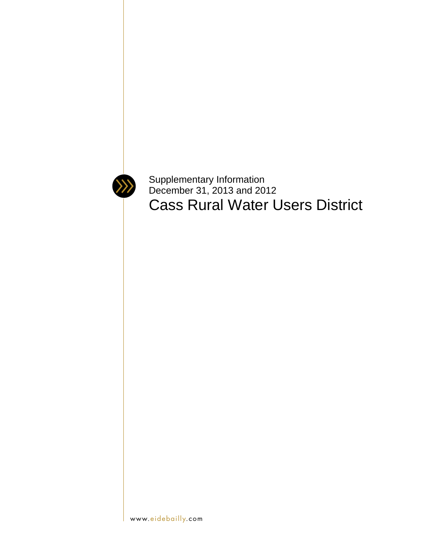

Supplementary Information December 31, 2013 and 2012 Cass Rural Water Users District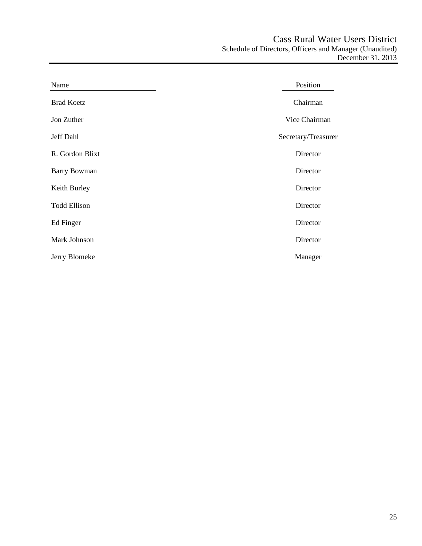| Name                | Position            |
|---------------------|---------------------|
| <b>Brad Koetz</b>   | Chairman            |
| Jon Zuther          | Vice Chairman       |
| Jeff Dahl           | Secretary/Treasurer |
| R. Gordon Blixt     | Director            |
| <b>Barry Bowman</b> | Director            |
| Keith Burley        | Director            |
| <b>Todd Ellison</b> | Director            |
| Ed Finger           | Director            |
| Mark Johnson        | Director            |
| Jerry Blomeke       | Manager             |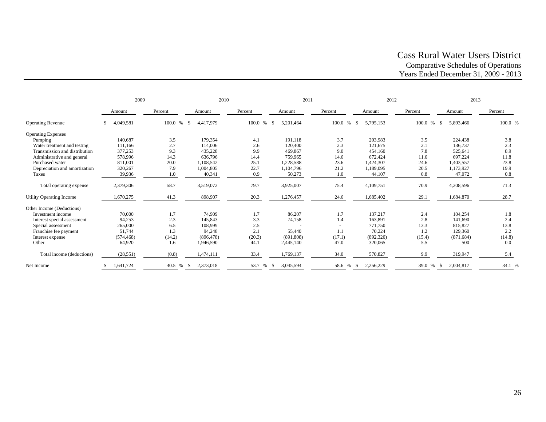## Cass Rural Water Users District Comparative Schedules of Operations Years Ended December 31, 2009 - 2013

|                               | 2009       |                         | 2010       |              | 2011            |         | 2012              |         | 2013              |         |
|-------------------------------|------------|-------------------------|------------|--------------|-----------------|---------|-------------------|---------|-------------------|---------|
|                               | Amount     | Percent                 | Amount     | Percent      | Amount          | Percent | Amount            | Percent | Amount            | Percent |
| <b>Operating Revenue</b>      | 4,049,581  | 100.0 %<br>$\mathbb{S}$ | 4,417,979  | 100.0<br>% S | 5,201,464       | 100.0 % | 5,795,153<br>- \$ | 100.0 % | 5,893,466<br>- \$ | 100.0 % |
| <b>Operating Expenses</b>     |            |                         |            |              |                 |         |                   |         |                   |         |
| Pumping                       | 140,687    | 3.5                     | 179,354    | 4.1          | 191,118         | 3.7     | 203,983           | 3.5     | 224,438           | 3.8     |
| Water treatment and testing   | 111,166    | 2.7                     | 114,006    | 2.6          | 120,400         | 2.3     | 121,675           | 2.1     | 136,737           | 2.3     |
| Transmission and distribution | 377,253    | 9.3                     | 435,228    | 9.9          | 469,867         | 9.0     | 454,160           | 7.8     | 525,641           | 8.9     |
| Administrative and general    | 578,996    | 14.3                    | 636,796    | 14.4         | 759.965         | 14.6    | 672,424           | 11.6    | 697,224           | 11.8    |
| Purchased water               | 811,001    | 20.0                    | 1.108.542  | 25.1         | 1.228.588       | 23.6    | 1,424,307         | 24.6    | 1,403,557         | 23.8    |
| Depreciation and amortization | 320,267    | 7.9                     | 1,004,805  | 22.7         | 1,104,796       | 21.2    | 1,189,095         | 20.5    | 1,173,927         | 19.9    |
| Taxes                         | 39,936     | 1.0                     | 40,341     | 0.9          | 50,273          | 1.0     | 44,107            | 0.8     | 47,072            | 0.8     |
| Total operating expense       | 2,379,306  | 58.7                    | 3,519,072  | 79.7         | 3,925,007       | 75.4    | 4,109,751         | 70.9    | 4,208,596         | 71.3    |
| Utility Operating Income      | 1,670,275  | 41.3                    | 898,907    | 20.3         | 1,276,457       | 24.6    | 1,685,402         | 29.1    | 1,684,870         | 28.7    |
| Other Income (Deductions)     |            |                         |            |              |                 |         |                   |         |                   |         |
| Investment income             | 70,000     | 1.7                     | 74.909     | 1.7          | 86,207          | 1.7     | 137,217           | 2.4     | 104,254           | 1.8     |
| Interest special assessment   | 94,253     | 2.3                     | 145,843    | 3.3          | 74,158          | 1.4     | 163,891           | 2.8     | 141,690           | 2.4     |
| Special assessment            | 265,000    | 6.5                     | 108,999    | 2.5          |                 |         | 771,750           | 13.3    | 815,827           | 13.8    |
| Franchise fee payment         | 51.744     | 1.3                     | 94,248     | 2.1          | 55,440          | 1.1     | 70,224            | 1.2     | 129,360           | 2.2     |
| Interest expense              | (574, 468) | (14.2)                  | (896, 478) | (20.3)       | (891, 808)      | (17.1)  | (892, 320)        | (15.4)  | (871, 684)        | (14.8)  |
| Other                         | 64,920     | 1.6                     | 1,946,590  | 44.1         | 2,445,140       | 47.0    | 320,065           | 5.5     | 500               | 0.0     |
| Total income (deductions)     | (28, 551)  | (0.8)                   | 1,474,111  | 33.4         | 1,769,137       | 34.0    | 570,827           | 9.9     | 319,947           | 5.4     |
| Net Income                    | 1,641,724  | 40.5 %<br>-S            | 2,373,018  | 53.7 %       | 3,045,594<br>-S | 58.6 %  | 2,256,229         | 39.0 %  | 2,004,817<br>-S   | 34.1 %  |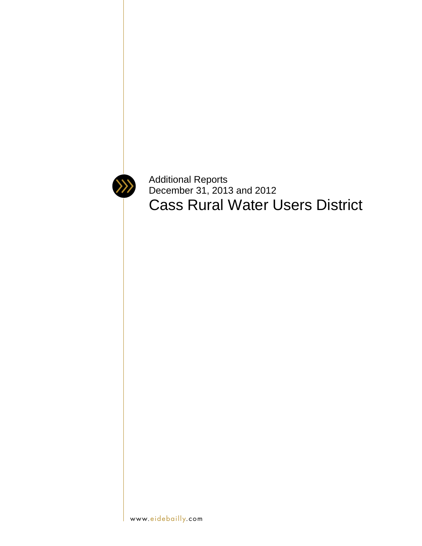

Additional Reports December 31, 2013 and 2012 Cass Rural Water Users District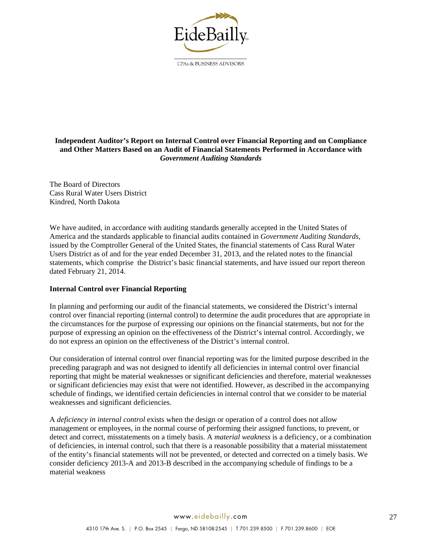

CPAs & BUSINESS ADVISORS

## **Independent Auditor's Report on Internal Control over Financial Reporting and on Compliance and Other Matters Based on an Audit of Financial Statements Performed in Accordance with**  *Government Auditing Standards*

The Board of Directors Cass Rural Water Users District Kindred, North Dakota

We have audited, in accordance with auditing standards generally accepted in the United States of America and the standards applicable to financial audits contained in *Government Auditing Standards*, issued by the Comptroller General of the United States, the financial statements of Cass Rural Water Users District as of and for the year ended December 31, 2013, and the related notes to the financial statements, which comprise the District's basic financial statements, and have issued our report thereon dated February 21, 2014.

#### **Internal Control over Financial Reporting**

In planning and performing our audit of the financial statements, we considered the District's internal control over financial reporting (internal control) to determine the audit procedures that are appropriate in the circumstances for the purpose of expressing our opinions on the financial statements, but not for the purpose of expressing an opinion on the effectiveness of the District's internal control. Accordingly, we do not express an opinion on the effectiveness of the District's internal control.

Our consideration of internal control over financial reporting was for the limited purpose described in the preceding paragraph and was not designed to identify all deficiencies in internal control over financial reporting that might be material weaknesses or significant deficiencies and therefore, material weaknesses or significant deficiencies may exist that were not identified. However, as described in the accompanying schedule of findings, we identified certain deficiencies in internal control that we consider to be material weaknesses and significant deficiencies.

A *deficiency in internal control* exists when the design or operation of a control does not allow management or employees, in the normal course of performing their assigned functions, to prevent, or detect and correct, misstatements on a timely basis. A *material weakness* is a deficiency, or a combination of deficiencies, in internal control, such that there is a reasonable possibility that a material misstatement of the entity's financial statements will not be prevented, or detected and corrected on a timely basis. We consider deficiency 2013-A and 2013-B described in the accompanying schedule of findings to be a material weakness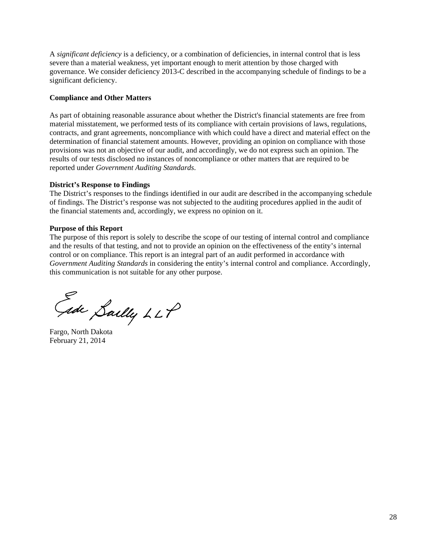A *significant deficiency* is a deficiency, or a combination of deficiencies, in internal control that is less severe than a material weakness, yet important enough to merit attention by those charged with governance. We consider deficiency 2013-C described in the accompanying schedule of findings to be a significant deficiency.

## **Compliance and Other Matters**

As part of obtaining reasonable assurance about whether the District's financial statements are free from material misstatement, we performed tests of its compliance with certain provisions of laws, regulations, contracts, and grant agreements, noncompliance with which could have a direct and material effect on the determination of financial statement amounts. However, providing an opinion on compliance with those provisions was not an objective of our audit, and accordingly, we do not express such an opinion. The results of our tests disclosed no instances of noncompliance or other matters that are required to be reported under *Government Auditing Standards*.

## **District's Response to Findings**

The District's responses to the findings identified in our audit are described in the accompanying schedule of findings. The District's response was not subjected to the auditing procedures applied in the audit of the financial statements and, accordingly, we express no opinion on it.

## **Purpose of this Report**

The purpose of this report is solely to describe the scope of our testing of internal control and compliance and the results of that testing, and not to provide an opinion on the effectiveness of the entity's internal control or on compliance. This report is an integral part of an audit performed in accordance with *Government Auditing Standards* in considering the entity's internal control and compliance. Accordingly, this communication is not suitable for any other purpose.

Gide Sailly LLP

Fargo, North Dakota February 21, 2014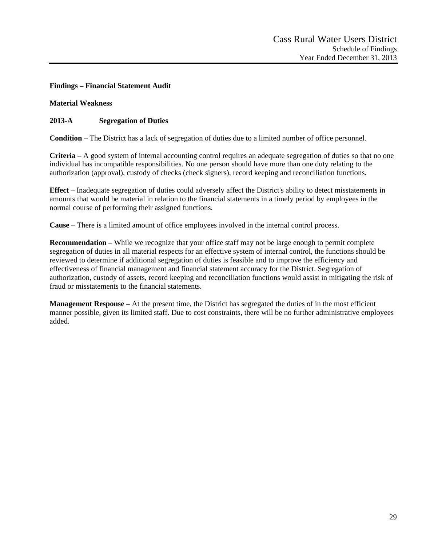## **Findings – Financial Statement Audit**

#### **Material Weakness**

## **2013-A Segregation of Duties**

**Condition** – The District has a lack of segregation of duties due to a limited number of office personnel.

**Criteria** – A good system of internal accounting control requires an adequate segregation of duties so that no one individual has incompatible responsibilities. No one person should have more than one duty relating to the authorization (approval), custody of checks (check signers), record keeping and reconciliation functions.

**Effect** – Inadequate segregation of duties could adversely affect the District's ability to detect misstatements in amounts that would be material in relation to the financial statements in a timely period by employees in the normal course of performing their assigned functions.

**Cause** – There is a limited amount of office employees involved in the internal control process.

**Recommendation** – While we recognize that your office staff may not be large enough to permit complete segregation of duties in all material respects for an effective system of internal control, the functions should be reviewed to determine if additional segregation of duties is feasible and to improve the efficiency and effectiveness of financial management and financial statement accuracy for the District. Segregation of authorization, custody of assets, record keeping and reconciliation functions would assist in mitigating the risk of fraud or misstatements to the financial statements.

**Management Response** – At the present time, the District has segregated the duties of in the most efficient manner possible, given its limited staff. Due to cost constraints, there will be no further administrative employees added.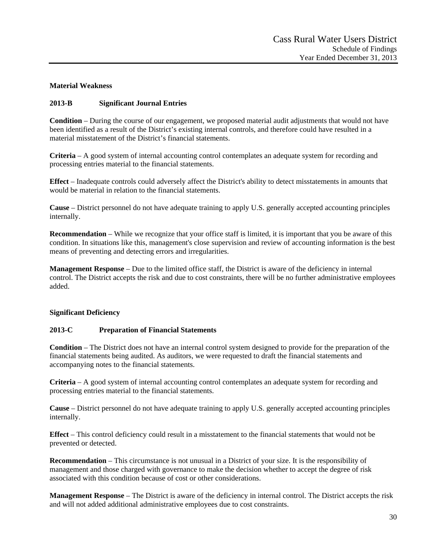## **Material Weakness**

## **2013-B Significant Journal Entries**

**Condition** – During the course of our engagement, we proposed material audit adjustments that would not have been identified as a result of the District's existing internal controls, and therefore could have resulted in a material misstatement of the District's financial statements.

**Criteria** – A good system of internal accounting control contemplates an adequate system for recording and processing entries material to the financial statements.

**Effect** – Inadequate controls could adversely affect the District's ability to detect misstatements in amounts that would be material in relation to the financial statements.

**Cause** – District personnel do not have adequate training to apply U.S. generally accepted accounting principles internally.

**Recommendation** – While we recognize that your office staff is limited, it is important that you be aware of this condition. In situations like this, management's close supervision and review of accounting information is the best means of preventing and detecting errors and irregularities.

**Management Response** – Due to the limited office staff, the District is aware of the deficiency in internal control. The District accepts the risk and due to cost constraints, there will be no further administrative employees added.

#### **Significant Deficiency**

#### **2013-C Preparation of Financial Statements**

**Condition** – The District does not have an internal control system designed to provide for the preparation of the financial statements being audited. As auditors, we were requested to draft the financial statements and accompanying notes to the financial statements.

**Criteria** – A good system of internal accounting control contemplates an adequate system for recording and processing entries material to the financial statements.

**Cause** – District personnel do not have adequate training to apply U.S. generally accepted accounting principles internally.

**Effect** – This control deficiency could result in a misstatement to the financial statements that would not be prevented or detected.

**Recommendation** – This circumstance is not unusual in a District of your size. It is the responsibility of management and those charged with governance to make the decision whether to accept the degree of risk associated with this condition because of cost or other considerations.

**Management Response** – The District is aware of the deficiency in internal control. The District accepts the risk and will not added additional administrative employees due to cost constraints.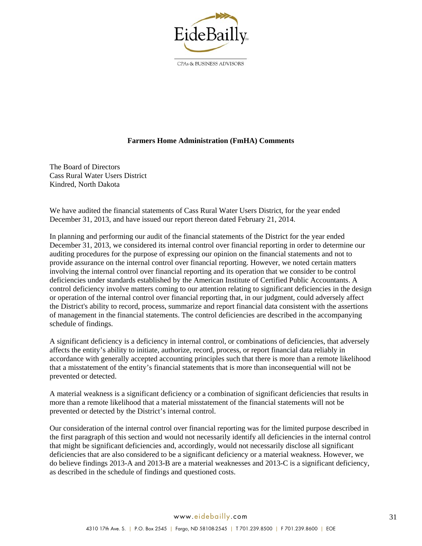

CPAs & BUSINESS ADVISORS

#### **Farmers Home Administration (FmHA) Comments**

The Board of Directors Cass Rural Water Users District Kindred, North Dakota

We have audited the financial statements of Cass Rural Water Users District, for the year ended December 31, 2013, and have issued our report thereon dated February 21, 2014.

In planning and performing our audit of the financial statements of the District for the year ended December 31, 2013, we considered its internal control over financial reporting in order to determine our auditing procedures for the purpose of expressing our opinion on the financial statements and not to provide assurance on the internal control over financial reporting. However, we noted certain matters involving the internal control over financial reporting and its operation that we consider to be control deficiencies under standards established by the American Institute of Certified Public Accountants. A control deficiency involve matters coming to our attention relating to significant deficiencies in the design or operation of the internal control over financial reporting that, in our judgment, could adversely affect the District's ability to record, process, summarize and report financial data consistent with the assertions of management in the financial statements. The control deficiencies are described in the accompanying schedule of findings.

A significant deficiency is a deficiency in internal control, or combinations of deficiencies, that adversely affects the entity's ability to initiate, authorize, record, process, or report financial data reliably in accordance with generally accepted accounting principles such that there is more than a remote likelihood that a misstatement of the entity's financial statements that is more than inconsequential will not be prevented or detected.

A material weakness is a significant deficiency or a combination of significant deficiencies that results in more than a remote likelihood that a material misstatement of the financial statements will not be prevented or detected by the District's internal control.

Our consideration of the internal control over financial reporting was for the limited purpose described in the first paragraph of this section and would not necessarily identify all deficiencies in the internal control that might be significant deficiencies and, accordingly, would not necessarily disclose all significant deficiencies that are also considered to be a significant deficiency or a material weakness. However, we do believe findings 2013-A and 2013-B are a material weaknesses and 2013-C is a significant deficiency, as described in the schedule of findings and questioned costs.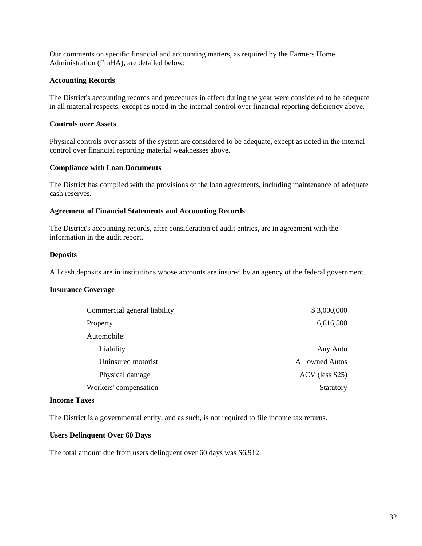Our comments on specific financial and accounting matters, as required by the Farmers Home Administration (FmHA), are detailed below:

#### **Accounting Records**

The District's accounting records and procedures in effect during the year were considered to be adequate in all material respects, except as noted in the internal control over financial reporting deficiency above.

#### **Controls over Assets**

Physical controls over assets of the system are considered to be adequate, except as noted in the internal control over financial reporting material weaknesses above.

#### **Compliance with Loan Documents**

The District has complied with the provisions of the loan agreements, including maintenance of adequate cash reserves.

#### **Agreement of Financial Statements and Accounting Records**

The District's accounting records, after consideration of audit entries, are in agreement with the information in the audit report.

#### **Deposits**

All cash deposits are in institutions whose accounts are insured by an agency of the federal government.

#### **Insurance Coverage**

| Commercial general liability | \$3,000,000       |
|------------------------------|-------------------|
| Property                     | 6,616,500         |
| Automobile:                  |                   |
| Liability                    | Any Auto          |
| Uninsured motorist           | All owned Autos   |
| Physical damage              | $ACV$ (less \$25) |
| Workers' compensation        | Statutory         |

#### **Income Taxes**

The District is a governmental entity, and as such, is not required to file income tax returns.

#### **Users Delinquent Over 60 Days**

The total amount due from users delinquent over 60 days was \$6,912.